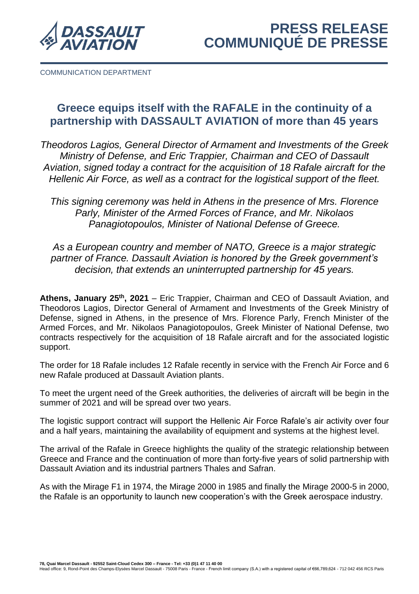

COMMUNICATION DEPARTMENT

## **Greece equips itself with the RAFALE in the continuity of a partnership with DASSAULT AVIATION of more than 45 years**

*Theodoros Lagios, General Director of Armament and Investments of the Greek Ministry of Defense, and Eric Trappier, Chairman and CEO of Dassault Aviation, signed today a contract for the acquisition of 18 Rafale aircraft for the Hellenic Air Force, as well as a contract for the logistical support of the fleet.*

*This signing ceremony was held in Athens in the presence of Mrs. Florence Parly, Minister of the Armed Forces of France, and Mr. Nikolaos Panagiotopoulos, Minister of National Defense of Greece.*

*As a European country and member of NATO, Greece is a major strategic partner of France. Dassault Aviation is honored by the Greek government's decision, that extends an uninterrupted partnership for 45 years.*

Athens, January 25<sup>th</sup>, 2021 – Eric Trappier, Chairman and CEO of Dassault Aviation, and Theodoros Lagios, Director General of Armament and Investments of the Greek Ministry of Defense, signed in Athens, in the presence of Mrs. Florence Parly, French Minister of the Armed Forces, and Mr. Nikolaos Panagiotopoulos, Greek Minister of National Defense, two contracts respectively for the acquisition of 18 Rafale aircraft and for the associated logistic support.

The order for 18 Rafale includes 12 Rafale recently in service with the French Air Force and 6 new Rafale produced at Dassault Aviation plants.

To meet the urgent need of the Greek authorities, the deliveries of aircraft will be begin in the summer of 2021 and will be spread over two years.

The logistic support contract will support the Hellenic Air Force Rafale's air activity over four and a half years, maintaining the availability of equipment and systems at the highest level.

The arrival of the Rafale in Greece highlights the quality of the strategic relationship between Greece and France and the continuation of more than forty-five years of solid partnership with Dassault Aviation and its industrial partners Thales and Safran.

As with the Mirage F1 in 1974, the Mirage 2000 in 1985 and finally the Mirage 2000-5 in 2000, the Rafale is an opportunity to launch new cooperation's with the Greek aerospace industry.

7**8, Quai Marcel Dassault - 92552 Saint-Cloud Cedex 300 – France - Tel: +33 (0)1 47 11 40 00**<br>Head office: 9, Rond-Point des Champs-Elysées Marcel Dassault - 75008 Paris - France - French limit company (S.A.) with a regis